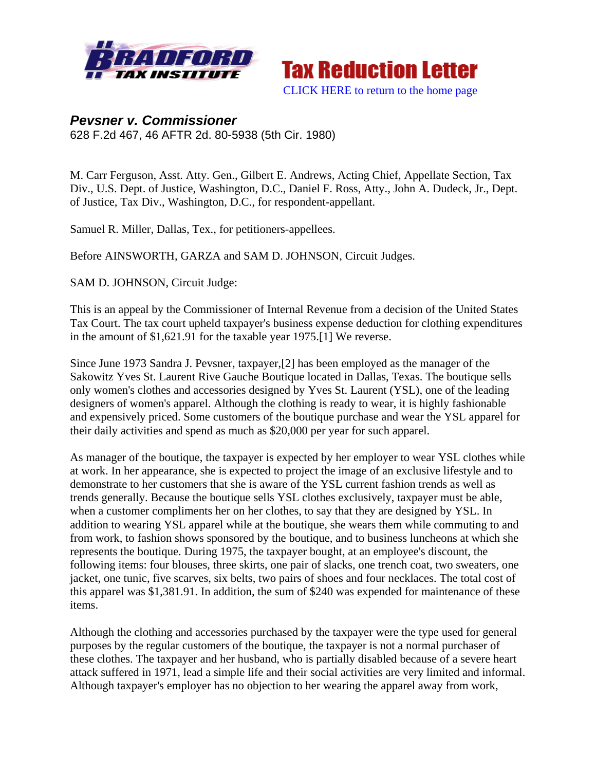



## *Pevsner v. Commissioner*

628 F.2d 467, 46 AFTR 2d. 80-5938 (5th Cir. 1980)

M. Carr Ferguson, Asst. Atty. Gen., Gilbert E. Andrews, Acting Chief, Appellate Section, Tax Div., U.S. Dept. of Justice, Washington, D.C., Daniel F. Ross, Atty., John A. Dudeck, Jr., Dept. of Justice, Tax Div., Washington, D.C., for respondent-appellant.

Samuel R. Miller, Dallas, Tex., for petitioners-appellees.

Before AINSWORTH, GARZA and SAM D. JOHNSON, Circuit Judges.

SAM D. JOHNSON, Circuit Judge:

This is an appeal by the Commissioner of Internal Revenue from a decision of the United States Tax Court. The tax court upheld taxpayer's business expense deduction for clothing expenditures in the amount of \$1,621.91 for the taxable year 1975.[1] We reverse.

Since June 1973 Sandra J. Pevsner, taxpayer,[2] has been employed as the manager of the Sakowitz Yves St. Laurent Rive Gauche Boutique located in Dallas, Texas. The boutique sells only women's clothes and accessories designed by Yves St. Laurent (YSL), one of the leading designers of women's apparel. Although the clothing is ready to wear, it is highly fashionable and expensively priced. Some customers of the boutique purchase and wear the YSL apparel for their daily activities and spend as much as \$20,000 per year for such apparel.

As manager of the boutique, the taxpayer is expected by her employer to wear YSL clothes while at work. In her appearance, she is expected to project the image of an exclusive lifestyle and to demonstrate to her customers that she is aware of the YSL current fashion trends as well as trends generally. Because the boutique sells YSL clothes exclusively, taxpayer must be able, when a customer compliments her on her clothes, to say that they are designed by YSL. In addition to wearing YSL apparel while at the boutique, she wears them while commuting to and from work, to fashion shows sponsored by the boutique, and to business luncheons at which she represents the boutique. During 1975, the taxpayer bought, at an employee's discount, the following items: four blouses, three skirts, one pair of slacks, one trench coat, two sweaters, one jacket, one tunic, five scarves, six belts, two pairs of shoes and four necklaces. The total cost of this apparel was \$1,381.91. In addition, the sum of \$240 was expended for maintenance of these items.

Although the clothing and accessories purchased by the taxpayer were the type used for general purposes by the regular customers of the boutique, the taxpayer is not a normal purchaser of these clothes. The taxpayer and her husband, who is partially disabled because of a severe heart attack suffered in 1971, lead a simple life and their social activities are very limited and informal. Although taxpayer's employer has no objection to her wearing the apparel away from work,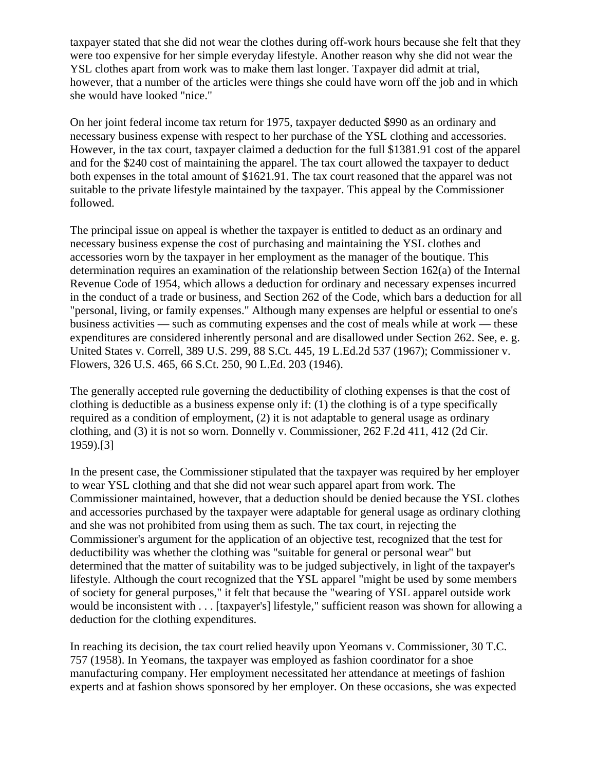taxpayer stated that she did not wear the clothes during off-work hours because she felt that they were too expensive for her simple everyday lifestyle. Another reason why she did not wear the YSL clothes apart from work was to make them last longer. Taxpayer did admit at trial, however, that a number of the articles were things she could have worn off the job and in which she would have looked "nice."

On her joint federal income tax return for 1975, taxpayer deducted \$990 as an ordinary and necessary business expense with respect to her purchase of the YSL clothing and accessories. However, in the tax court, taxpayer claimed a deduction for the full \$1381.91 cost of the apparel and for the \$240 cost of maintaining the apparel. The tax court allowed the taxpayer to deduct both expenses in the total amount of \$1621.91. The tax court reasoned that the apparel was not suitable to the private lifestyle maintained by the taxpayer. This appeal by the Commissioner followed.

The principal issue on appeal is whether the taxpayer is entitled to deduct as an ordinary and necessary business expense the cost of purchasing and maintaining the YSL clothes and accessories worn by the taxpayer in her employment as the manager of the boutique. This determination requires an examination of the relationship between Section 162(a) of the Internal Revenue Code of 1954, which allows a deduction for ordinary and necessary expenses incurred in the conduct of a trade or business, and Section 262 of the Code, which bars a deduction for all "personal, living, or family expenses." Although many expenses are helpful or essential to one's business activities — such as commuting expenses and the cost of meals while at work — these expenditures are considered inherently personal and are disallowed under Section 262. See, e. g. United States v. Correll, 389 U.S. 299, 88 S.Ct. 445, 19 L.Ed.2d 537 (1967); Commissioner v. Flowers, 326 U.S. 465, 66 S.Ct. 250, 90 L.Ed. 203 (1946).

The generally accepted rule governing the deductibility of clothing expenses is that the cost of clothing is deductible as a business expense only if: (1) the clothing is of a type specifically required as a condition of employment, (2) it is not adaptable to general usage as ordinary clothing, and (3) it is not so worn. Donnelly v. Commissioner, 262 F.2d 411, 412 (2d Cir. 1959).[3]

In the present case, the Commissioner stipulated that the taxpayer was required by her employer to wear YSL clothing and that she did not wear such apparel apart from work. The Commissioner maintained, however, that a deduction should be denied because the YSL clothes and accessories purchased by the taxpayer were adaptable for general usage as ordinary clothing and she was not prohibited from using them as such. The tax court, in rejecting the Commissioner's argument for the application of an objective test, recognized that the test for deductibility was whether the clothing was "suitable for general or personal wear" but determined that the matter of suitability was to be judged subjectively, in light of the taxpayer's lifestyle. Although the court recognized that the YSL apparel "might be used by some members of society for general purposes," it felt that because the "wearing of YSL apparel outside work would be inconsistent with . . . [taxpayer's] lifestyle," sufficient reason was shown for allowing a deduction for the clothing expenditures.

In reaching its decision, the tax court relied heavily upon Yeomans v. Commissioner, 30 T.C. 757 (1958). In Yeomans, the taxpayer was employed as fashion coordinator for a shoe manufacturing company. Her employment necessitated her attendance at meetings of fashion experts and at fashion shows sponsored by her employer. On these occasions, she was expected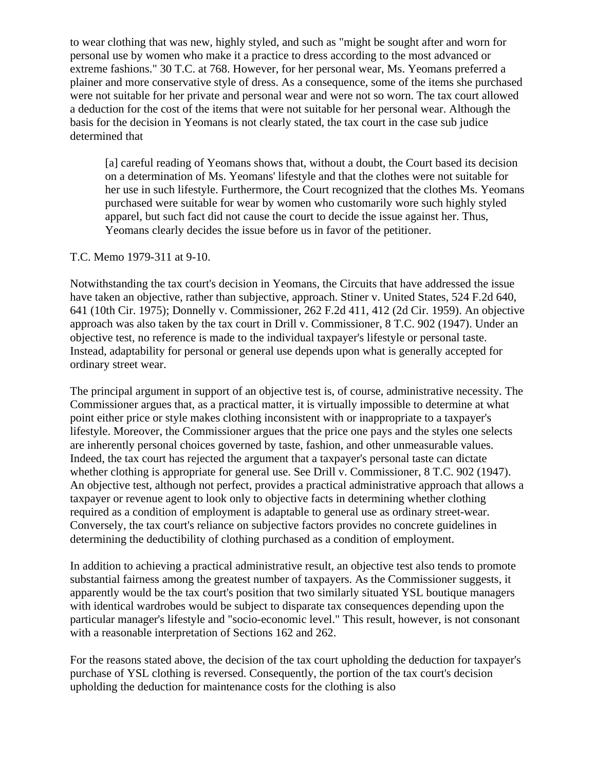to wear clothing that was new, highly styled, and such as "might be sought after and worn for personal use by women who make it a practice to dress according to the most advanced or extreme fashions." 30 T.C. at 768. However, for her personal wear, Ms. Yeomans preferred a plainer and more conservative style of dress. As a consequence, some of the items she purchased were not suitable for her private and personal wear and were not so worn. The tax court allowed a deduction for the cost of the items that were not suitable for her personal wear. Although the basis for the decision in Yeomans is not clearly stated, the tax court in the case sub judice determined that

[a] careful reading of Yeomans shows that, without a doubt, the Court based its decision on a determination of Ms. Yeomans' lifestyle and that the clothes were not suitable for her use in such lifestyle. Furthermore, the Court recognized that the clothes Ms. Yeomans purchased were suitable for wear by women who customarily wore such highly styled apparel, but such fact did not cause the court to decide the issue against her. Thus, Yeomans clearly decides the issue before us in favor of the petitioner.

## T.C. Memo 1979-311 at 9-10.

Notwithstanding the tax court's decision in Yeomans, the Circuits that have addressed the issue have taken an objective, rather than subjective, approach. Stiner v. United States, 524 F.2d 640, 641 (10th Cir. 1975); Donnelly v. Commissioner, 262 F.2d 411, 412 (2d Cir. 1959). An objective approach was also taken by the tax court in Drill v. Commissioner, 8 T.C. 902 (1947). Under an objective test, no reference is made to the individual taxpayer's lifestyle or personal taste. Instead, adaptability for personal or general use depends upon what is generally accepted for ordinary street wear.

The principal argument in support of an objective test is, of course, administrative necessity. The Commissioner argues that, as a practical matter, it is virtually impossible to determine at what point either price or style makes clothing inconsistent with or inappropriate to a taxpayer's lifestyle. Moreover, the Commissioner argues that the price one pays and the styles one selects are inherently personal choices governed by taste, fashion, and other unmeasurable values. Indeed, the tax court has rejected the argument that a taxpayer's personal taste can dictate whether clothing is appropriate for general use. See Drill v. Commissioner, 8 T.C. 902 (1947). An objective test, although not perfect, provides a practical administrative approach that allows a taxpayer or revenue agent to look only to objective facts in determining whether clothing required as a condition of employment is adaptable to general use as ordinary street-wear. Conversely, the tax court's reliance on subjective factors provides no concrete guidelines in determining the deductibility of clothing purchased as a condition of employment.

In addition to achieving a practical administrative result, an objective test also tends to promote substantial fairness among the greatest number of taxpayers. As the Commissioner suggests, it apparently would be the tax court's position that two similarly situated YSL boutique managers with identical wardrobes would be subject to disparate tax consequences depending upon the particular manager's lifestyle and "socio-economic level." This result, however, is not consonant with a reasonable interpretation of Sections 162 and 262.

For the reasons stated above, the decision of the tax court upholding the deduction for taxpayer's purchase of YSL clothing is reversed. Consequently, the portion of the tax court's decision upholding the deduction for maintenance costs for the clothing is also